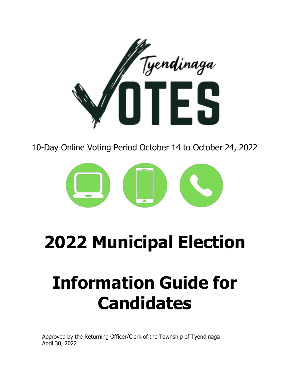

10-Day Online Voting Period October 14 to October 24, 2022



# **2022 Municipal Election**

# **Information Guide for Candidates**

Approved by the Returning Officer/Clerk of the Township of Tyendinaga April 30, 2022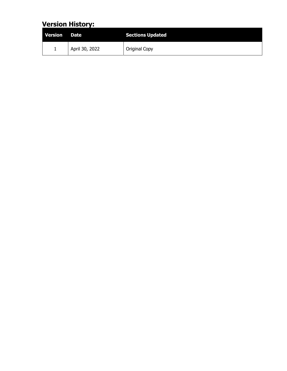## **Version History:**

| Version | <b>Date</b>    | <b>Sections Updated</b> |
|---------|----------------|-------------------------|
| ÷       | April 30, 2022 | Original Copy           |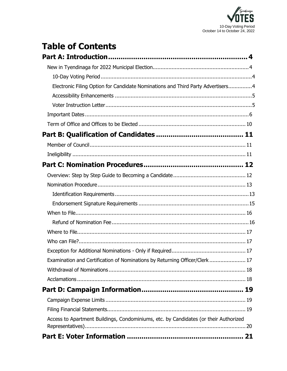

# **Table of Contents**

| Electronic Filing Option for Candidate Nominations and Third Party Advertisers4      |  |
|--------------------------------------------------------------------------------------|--|
|                                                                                      |  |
|                                                                                      |  |
|                                                                                      |  |
|                                                                                      |  |
|                                                                                      |  |
|                                                                                      |  |
|                                                                                      |  |
|                                                                                      |  |
|                                                                                      |  |
|                                                                                      |  |
|                                                                                      |  |
|                                                                                      |  |
|                                                                                      |  |
|                                                                                      |  |
|                                                                                      |  |
|                                                                                      |  |
|                                                                                      |  |
| Examination and Certification of Nominations by Returning Officer/Clerk  17          |  |
|                                                                                      |  |
|                                                                                      |  |
|                                                                                      |  |
|                                                                                      |  |
|                                                                                      |  |
| Access to Apartment Buildings, Condominiums, etc. by Candidates (or their Authorized |  |
|                                                                                      |  |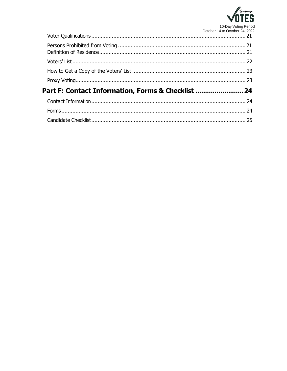

| Part F: Contact Information, Forms & Checklist |  |
|------------------------------------------------|--|
|                                                |  |
|                                                |  |
|                                                |  |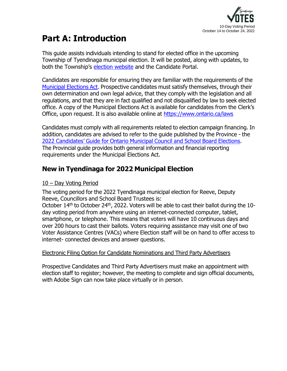

# <span id="page-4-0"></span>**Part A: Introduction**

This guide assists individuals intending to stand for elected office in the upcoming Township of Tyendinaga municipal election. It will be posted, along with updates, to both the Township's [election](http://www.tyendinagatownship.com/elections) website and the Candidate Portal.

Candidates are responsible for ensuring they are familiar with the requirements of the [Municipal](https://www.ontario.ca/laws/statute/96m32) Elections Act. Prospective candidates must satisfy themselves, through their own determination and own legal advice, that they comply with the legislation and all regulations, and that they are in fact qualified and not disqualified by law to seek elected office. A copy of the Municipal Elections Act is available for candidates from the Clerk's Office, upon request. It is also available online at [https://www.ontario.ca/laws](https://www.ontario.ca/laws/statute/96m32?search=municipal%2Belections%2Bact)

Candidates must comply with all requirements related to election campaign financing. In addition, candidates are advised to refer to the guide published by the Province - the 2022 [Candidates'](https://www.ontario.ca/files/2022-03/mmah-2022-candidates-guide-en-2022-03-31.pdf) Guide for Ontario Municipal Council and School Board Elections. The Provincial guide provides both general information and financial reporting requirements under the Municipal Elections Act.

## <span id="page-4-1"></span>**New in Tyendinaga for 2022 Municipal Election**

## <span id="page-4-2"></span>10 – Day Voting Period

The voting period for the 2022 Tyendinaga municipal election for Reeve, Deputy Reeve, Councillors and School Board Trustees is:

October 14<sup>th</sup> to October 24<sup>th</sup>, 2022. Voters will be able to cast their ballot during the 10day voting period from anywhere using an internet-connected computer, tablet, smartphone, or telephone. This means that voters will have 10 continuous days and over 200 hours to cast their ballots. Voters requiring assistance may visit one of two Voter Assistance Centres (VACs) where Election staff will be on hand to offer access to internet- connected devices and answer questions.

## <span id="page-4-3"></span>Electronic Filing Option for Candidate Nominations and Third Party Advertisers

Prospective Candidates and Third Party Advertisers must make an appointment with election staff to register; however, the meeting to complete and sign official documents, with Adobe Sign can now take place virtually or in person.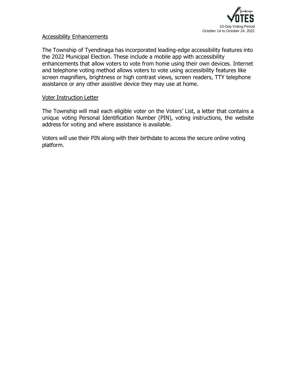

#### <span id="page-5-0"></span>Accessibility Enhancements

The Township of Tyendinaga has incorporated leading-edge accessibility features into the 2022 Municipal Election. These include a mobile app with accessibility enhancements that allow voters to vote from home using their own devices. Internet and telephone voting method allows voters to vote using accessibility features like screen magnifiers, brightness or high contrast views, screen readers, TTY telephone assistance or any other assistive device they may use at home.

#### <span id="page-5-1"></span>Voter Instruction Letter

The Township will mail each eligible voter on the Voters' List, a letter that contains a unique voting Personal Identification Number (PIN), voting instructions, the website address for voting and where assistance is available.

Voters will use their PIN along with their birthdate to access the secure online voting platform.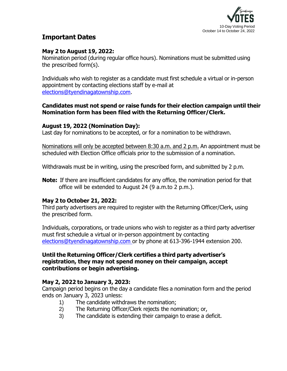

## **Important Dates**

## **May 2 to August 19, 2022:**

Nomination period (during regular office hours). Nominations must be submitted using the prescribed form(s).

Individuals who wish to register as a candidate must first schedule a virtual or in-person appointment by contacting elections staff by e-mail at [elections@tyendinagatownship.com.](mailto:elections@tyendinagatownship.com)

#### **Candidates must not spend or raise funds for their election campaign until their Nomination form has been filed with the Returning Officer/Clerk.**

#### **August 19, 2022 (Nomination Day):**

Last day for nominations to be accepted, or for a nomination to be withdrawn.

Nominations will only be accepted between 8:30 a.m. and 2 p.m. An appointment must be scheduled with Election Office officials prior to the submission of a nomination.

Withdrawals must be in writing, using the prescribed form, and submitted by 2 p.m.

**Note:** If there are insufficient candidates for any office, the nomination period for that office will be extended to August 24 (9 a.m.to 2 p.m.).

## **May 2 to October 21, 2022:**

Third party advertisers are required to register with the Returning Officer/Clerk, using the prescribed form.

Individuals, corporations, or trade unions who wish to register as a third party advertiser must first schedule a virtual or in-person appointment by contacting [elections@tyendinagatownship.com](mailto:elections@tyendinagatownship.com) or by phone at 613-396-1944 extension 200.

#### **Until the Returning Officer/Clerk certifies a third party advertiser's registration, they may not spend money on their campaign, accept contributions or begin advertising.**

## **May 2, 2022 to January 3, 2023:**

Campaign period begins on the day a candidate files a nomination form and the period ends on January 3, 2023 unless:

- 1) The candidate withdraws the nomination;
- 2) The Returning Officer/Clerk rejects the nomination; or,
- 3) The candidate is extending their campaign to erase a deficit.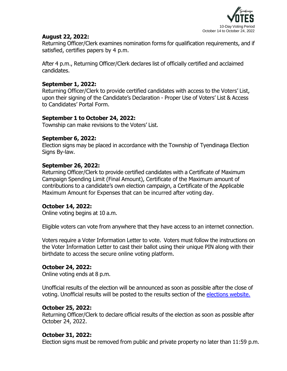

#### **August 22, 2022:**

Returning Officer/Clerk examines nomination forms for qualification requirements, and if satisfied, certifies papers by 4 p.m.

After 4 p.m., Returning Officer/Clerk declares list of officially certified and acclaimed candidates.

#### **September 1, 2022:**

Returning Officer/Clerk to provide certified candidates with access to the Voters' List, upon their signing of the Candidate's Declaration - Proper Use of Voters' List & Access to Candidates' Portal Form.

#### **September 1 to October 24, 2022:**

Township can make revisions to the Voters' List.

#### **September 6, 2022:**

Election signs may be placed in accordance with the Township of Tyendinaga Election Signs By-law.

#### **September 26, 2022:**

Returning Officer/Clerk to provide certified candidates with a Certificate of Maximum Campaign Spending Limit (Final Amount), Certificate of the Maximum amount of contributions to a candidate's own election campaign, a Certificate of the Applicable Maximum Amount for Expenses that can be incurred after voting day.

#### **October 14, 2022:**

Online voting begins at 10 a.m.

Eligible voters can vote from anywhere that they have access to an internet connection.

Voters require a Voter Information Letter to vote. Voters must follow the instructions on the Voter Information Letter to cast their ballot using their unique PIN along with their birthdate to access the secure online voting platform.

#### **October 24, 2022:**

Online voting ends at 8 p.m.

Unofficial results of the election will be announced as soon as possible after the close of voting. Unofficial results will be posted to the results section of the [elections](http://www.tyendinagatownship.com/elections) website.

#### **October 25, 2022:**

Returning Officer/Clerk to declare official results of the election as soon as possible after October 24, 2022.

## **October 31, 2022:**

Election signs must be removed from public and private property no later than 11:59 p.m.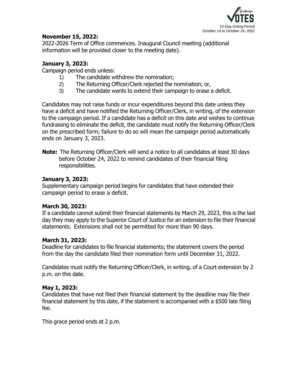

#### **November 15, 2022:**

2022-2026 Term of Office commences. Inaugural Council meeting (additional information will be provided closer to the meeting date).

## **January 3, 2023:**

Campaign period ends unless:

- 1) The candidate withdrew the nomination;
- 2) The Returning Officer/Clerk rejected the nomination; or,
- 3) The candidate wants to extend their campaign to erase a deficit.

Candidates may not raise funds or incur expenditures beyond this date unless they have a deficit and have notified the Returning Officer/Clerk, in writing, of the extension to the campaign period. If a candidate has a deficit on this date and wishes to continue fundraising to eliminate the deficit, the candidate must notify the Returning Officer/Clerk on the prescribed form; failure to do so will mean the campaign period automatically ends on January 3, 2023.

**Note:** The Returning Officer/Clerk will send a notice to all candidates at least 30 days before October 24, 2022 to remind candidates of their financial filing responsibilities.

#### **January 3, 2023:**

Supplementary campaign period begins for candidates that have extended their campaign period to erase a deficit.

## **March 30, 2023:**

If a candidate cannot submit their financial statements by March 29, 2023, this is the last day they may apply to the Superior Court of Justice for an extension to file their financial statements. Extensions shall not be permitted for more than 90 days.

## **March 31, 2023:**

Deadline for candidates to file financial statements; the statement covers the period from the day the candidate filed their nomination form until December 31, 2022.

Candidates must notify the Returning Officer/Clerk, in writing, of a Court extension by 2 p.m. on this date.

## **May 1, 2023:**

Candidates that have not filed their financial statement by the deadline may file their financial statement by this date, if the statement is accompanied with a \$500 late filing fee.

This grace period ends at 2 p.m.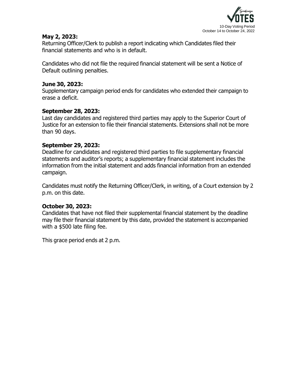

#### **May 2, 2023:**

Returning Officer/Clerk to publish a report indicating which Candidates filed their financial statements and who is in default.

Candidates who did not file the required financial statement will be sent a Notice of Default outlining penalties.

#### **June 30, 2023:**

Supplementary campaign period ends for candidates who extended their campaign to erase a deficit.

#### **September 28, 2023:**

Last day candidates and registered third parties may apply to the Superior Court of Justice for an extension to file their financial statements. Extensions shall not be more than 90 days.

#### **September 29, 2023:**

Deadline for candidates and registered third parties to file supplementary financial statements and auditor's reports; a supplementary financial statement includes the information from the initial statement and adds financial information from an extended campaign.

Candidates must notify the Returning Officer/Clerk, in writing, of a Court extension by 2 p.m. on this date.

## **October 30, 2023:**

Candidates that have not filed their supplemental financial statement by the deadline may file their financial statement by this date, provided the statement is accompanied with a \$500 late filing fee.

This grace period ends at 2 p.m.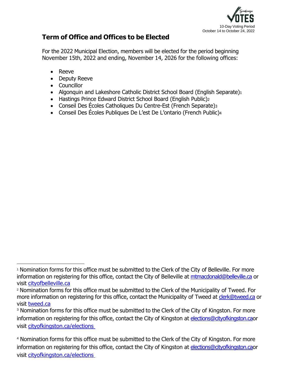

## <span id="page-10-0"></span>**Term of Office and Offices to be Elected**

For the 2022 Municipal Election, members will be elected for the period beginning November 15th, 2022 and ending, November 14, 2026 for the following offices:

- Reeve
- Deputy Reeve
- Councillor
- Algonquin and Lakeshore Catholic District School Board (English Separate)1
- Hastings Prince Edward District School Board (English Public)<sup>2</sup>
- Conseil Des Écoles Catholiques Du Centre-Est (French Separate)3
- Conseil Des Écoles Publiques De L'est De L'ontario (French Public)<sup>4</sup>

<sup>1</sup> Nomination forms for this office must be submitted to the Clerk of the City of Belleville. For more information on registering for this office, contact the City of Belleville at [mtmacdonald@belleville.ca](mailto:mtmacdonald@belleville.ca) or visit [cityofbelleville.ca](http://www.cityofbelleville.ca/)

<sup>2</sup> Nomination forms for this office must be submitted to the Clerk of the Municipality of Tweed. For more information on registering for this office, contact the Municipality of Tweed at [clerk@tweed.ca](mailto:clerk@tweed.ca) or visit [tweed.ca](http://www.tweed.ca/)

<sup>&</sup>lt;sup>3</sup> Nomination forms for this office must be submitted to the Clerk of the City of Kingston. For more information on registering for this office, contact the City of Kingston at [elections@cityofkingston.cao](mailto:elections@cityofkingston.ca)r visit [cityofkingston.ca/elections](http://www.cityofkingston.ca/elections)

<sup>4</sup> Nomination forms for this office must be submitted to the Clerk of the City of Kingston. For more information on registering for this office, contact the City of Kingston at [elections@cityofkingston.cao](mailto:elections@cityofkingston.ca)r visit [cityofkingston.ca/elections](http://www.cityofkingston.ca/elections)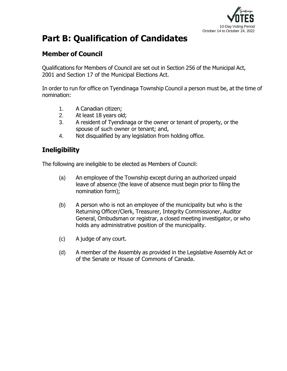

# <span id="page-11-0"></span>**Part B: Qualification of Candidates**

## <span id="page-11-1"></span>**Member of Council**

Qualifications for Members of Council are set out in Section 256 of the Municipal Act, 2001 and Section 17 of the Municipal Elections Act.

In order to run for office on Tyendinaga Township Council a person must be, at the time of nomination:

- 1. A Canadian citizen;
- 2. At least 18 years old;
- 3. A resident of Tyendinaga or the owner or tenant of property, or the spouse of such owner or tenant; and,
- 4. Not disqualified by any legislation from holding office.

## <span id="page-11-2"></span>**Ineligibility**

The following are ineligible to be elected as Members of Council:

- (a) An employee of the Township except during an authorized unpaid leave of absence (the leave of absence must begin prior to filing the nomination form);
- (b) A person who is not an employee of the municipality but who is the Returning Officer/Clerk, Treasurer, Integrity Commissioner, Auditor General, Ombudsman or registrar, a closed meeting investigator, or who holds any administrative position of the municipality.
- (c) A judge of any court.
- (d) A member of the Assembly as provided in the Legislative Assembly Act or of the Senate or House of Commons of Canada.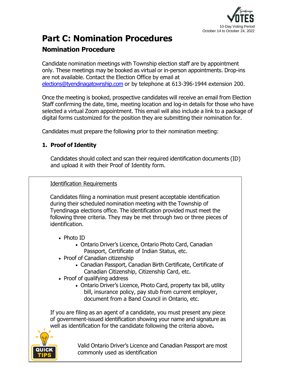

## <span id="page-12-0"></span>**Part C: Nomination Procedures**

## <span id="page-12-1"></span>**Nomination Procedure**

Candidate nomination meetings with Township election staff are by appointment only. These meetings may be booked as virtual or in-person appointments. Drop-ins are not available. Contact the Election Office by email at [elections@tyendinagatownship.com](mailto:elections@tyendinagatownship.com) or by telephone at 613-396-1944 extension 200.

Once the meeting is booked, prospective candidates will receive an email from Election Staff confirming the date, time, meeting location and log-in details for those who have selected a virtual Zoom appointment. This email will also include a link to a package of digital forms customized for the position they are submitting their nomination for.

Candidates must prepare the following prior to their nomination meeting:

## **1. Proof of Identity**

Candidates should collect and scan their required identification documents (ID) and upload it with their Proof of Identity form.

## <span id="page-12-2"></span>Identification Requirements

Candidates filing a nomination must present acceptable identification during their scheduled nomination meeting with the Township of Tyendinaga elections office. The identification provided must meet the following three criteria. They may be met through two or three pieces of identification.

- Photo ID
	- Ontario Driver's Licence, Ontario Photo Card, Canadian Passport, Certificate of Indian Status, etc.
- Proof of Canadian citizenship
	- Canadian Passport, Canadian Birth Certificate, Certificate of Canadian Citizenship, Citizenship Card, etc.
- Proof of qualifying address
	- Ontario Driver's Licence, Photo Card, property tax bill, utility bill, insurance policy, pay stub from current employer, document from a Band Council in Ontario, etc.

If you are filing as an agent of a candidate, you must present any piece of government-issued identification showing your name and signature as well as identification for the candidate following the criteria above**.**



Valid Ontario Driver's Licence and Canadian Passport are most commonly used as identification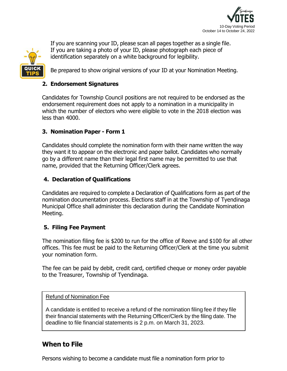



If you are scanning your ID, please scan all pages together as a single file. If you are taking a photo of your ID, please photograph each piece of identification separately on a white background for legibility.

Be prepared to show original versions of your ID at your Nomination Meeting.

#### **2. Endorsement Signatures**

Candidates for Township Council positions are not required to be endorsed as the endorsement requirement does not apply to a nomination in a municipality in which the number of electors who were eligible to vote in the 2018 election was less than 4000.

#### **3. Nomination Paper - Form 1**

Candidates should complete the nomination form with their name written the way they want it to appear on the electronic and paper ballot. Candidates who normally go by a different name than their legal first name may be permitted to use that name, provided that the Returning Officer/Clerk agrees.

#### **4. Declaration of Qualifications**

Candidates are required to complete a Declaration of Qualifications form as part of the nomination documentation process. Elections staff in at the Township of Tyendinaga Municipal Office shall administer this declaration during the Candidate Nomination Meeting.

#### **5. Filing Fee Payment**

The nomination filing fee is \$200 to run for the office of Reeve and \$100 for all other offices. This fee must be paid to the Returning Officer/Clerk at the time you submit your nomination form.

The fee can be paid by debit, credit card, certified cheque or money order payable to the Treasurer, Township of Tyendinaga.

#### Refund of Nomination Fee

A candidate is entitled to receive a refund of the nomination filing fee if they file their financial statements with the Returning Officer/Clerk by the filing date. The deadline to file financial statements is 2 p.m. on March 31, 2023.

## <span id="page-13-0"></span>**When to File**

Persons wishing to become a candidate must file a nomination form prior to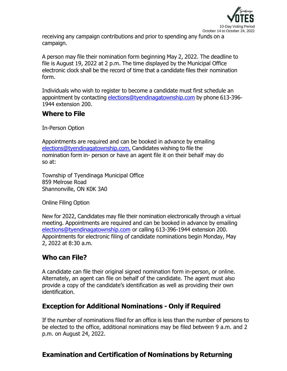

receiving any campaign contributions and prior to spending any funds on a campaign.

A person may file their nomination form beginning May 2, 2022. The deadline to file is August 19, 2022 at 2 p.m. The time displayed by the Municipal Office electronic clock shall be the record of time that a candidate files their nomination form.

Individuals who wish to register to become a candidate must first schedule an appointment by contacting [elections@tyendinagatownship.com](mailto:elections@tyendinagatownship.com) by phone 613-396-1944 extension 200.

## <span id="page-14-0"></span>**Where to File**

In-Person Option

Appointments are required and can be booked in advance by emailing [elections@tyendinagatownship.com.](mailto:elections@tyendinagatownship.com) Candidates wishing to file the nomination form in- person or have an agent file it on their behalf may do so at:

Township of Tyendinaga Municipal Office 859 Melrose Road Shannonville, ON K0K 3A0

Online Filing Option

New for 2022, Candidates may file their nomination electronically through a virtual meeting. Appointments are required and can be booked in advance by emailing [elections@tyendinagatownship.com](mailto:elections@tyendinagatownship.com) or calling 613-396-1944 extension 200. Appointments for electronic filing of candidate nominations begin Monday, May 2, 2022 at 8:30 a.m.

## <span id="page-14-1"></span>**Who can File?**

A candidate can file their original signed nomination form in-person, or online. Alternately, an agent can file on behalf of the candidate. The agent must also provide a copy of the candidate's identification as well as providing their own identification.

## <span id="page-14-2"></span>**Exception for Additional Nominations - Only if Required**

If the number of nominations filed for an office is less than the number of persons to be elected to the office, additional nominations may be filed between 9 a.m. and 2 p.m. on August 24, 2022.

## <span id="page-14-3"></span>**Examination and Certification of Nominations by Returning**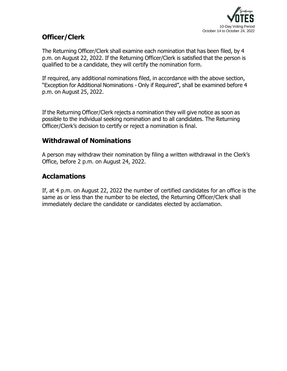

## **Officer/Clerk**

The Returning Officer/Clerk shall examine each nomination that has been filed, by 4 p.m. on August 22, 2022. If the Returning Officer/Clerk is satisfied that the person is qualified to be a candidate, they will certify the nomination form.

If required, any additional nominations filed, in accordance with the above section, "Exception for Additional Nominations - Only if Required", shall be examined before 4 p.m. on August 25, 2022.

If the Returning Officer/Clerk rejects a nomination they will give notice as soon as possible to the individual seeking nomination and to all candidates. The Returning Officer/Clerk's decision to certify or reject a nomination is final.

## <span id="page-15-0"></span>**Withdrawal of Nominations**

A person may withdraw their nomination by filing a written withdrawal in the Clerk's Office, before 2 p.m. on August 24, 2022.

## <span id="page-15-1"></span>**Acclamations**

If, at 4 p.m. on August 22, 2022 the number of certified candidates for an office is the same as or less than the number to be elected, the Returning Officer/Clerk shall immediately declare the candidate or candidates elected by acclamation.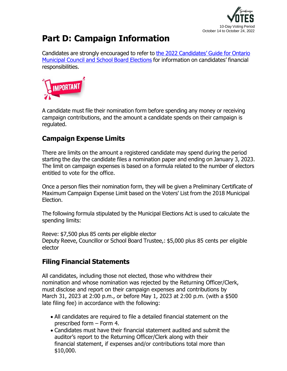

# <span id="page-16-0"></span>**Part D: Campaign Information**

Candidates are strongly encouraged to refer to the 2022 [Candidates'](https://www.ontario.ca/document/2022-candidates-guide-ontario-municipal-council-and-school-board-elections) Guide for Ontario [Municipal](https://www.ontario.ca/document/2022-candidates-guide-ontario-municipal-council-and-school-board-elections) Council and School Board Elections for information on candidates' financial responsibilities.



A candidate must file their nomination form before spending any money or receiving campaign contributions, and the amount a candidate spends on their campaign is regulated.

## <span id="page-16-1"></span>**Campaign Expense Limits**

There are limits on the amount a registered candidate may spend during the period starting the day the candidate files a nomination paper and ending on January 3, 2023. The limit on campaign expenses is based on a formula related to the number of electors entitled to vote for the office.

Once a person files their nomination form, they will be given a Preliminary Certificate of Maximum Campaign Expense Limit based on the Voters' List from the 2018 Municipal Election.

The following formula stipulated by the Municipal Elections Act is used to calculate the spending limits:

Reeve: \$7,500 plus 85 cents per eligible elector Deputy Reeve, Councillor or School Board Trustee,: \$5,000 plus 85 cents per eligible elector

## <span id="page-16-2"></span>**Filing Financial Statements**

All candidates, including those not elected, those who withdrew their nomination and whose nomination was rejected by the Returning Officer/Clerk, must disclose and report on their campaign expenses and contributions by March 31, 2023 at 2:00 p.m., or before May 1, 2023 at 2:00 p.m. (with a \$500 late filing fee) in accordance with the following:

- All candidates are required to file a detailed financial statement on the prescribed form – Form 4.
- Candidates must have their financial statement audited and submit the auditor's report to the Returning Officer/Clerk along with their financial statement, if expenses and/or contributions total more than \$10,000.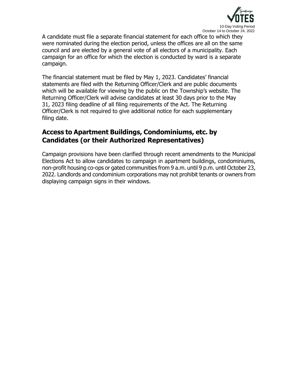

A candidate must file a separate financial statement for each office to which they were nominated during the election period, unless the offices are all on the same council and are elected by a general vote of all electors of a municipality. Each campaign for an office for which the election is conducted by ward is a separate campaign.

The financial statement must be filed by May 1, 2023. Candidates' financial statements are filed with the Returning Officer/Clerk and are public documents which will be available for viewing by the public on the Township's website. The Returning Officer/Clerk will advise candidates at least 30 days prior to the May 31, 2023 filing deadline of all filing requirements of the Act. The Returning Officer/Clerk is not required to give additional notice for each supplementary filing date.

## <span id="page-17-0"></span>**Access to Apartment Buildings, Condominiums, etc. by Candidates (or their Authorized Representatives)**

Campaign provisions have been clarified through recent amendments to the Municipal Elections Act to allow candidates to campaign in apartment buildings, condominiums, non-profit housing co-ops or gated communities from 9 a.m. until 9 p.m. until October 23, 2022. Landlords and condominium corporations may not prohibit tenants or owners from displaying campaign signs in their windows.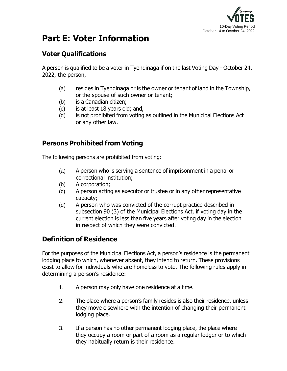

# <span id="page-18-0"></span>**Part E: Voter Information**

## <span id="page-18-1"></span>**Voter Qualifications**

A person is qualified to be a voter in Tyendinaga if on the last Voting Day - October 24, 2022, the person,

- (a) resides in Tyendinaga or is the owner or tenant of land in the Township, or the spouse of such owner or tenant;
- (b) is a Canadian citizen;
- (c) is at least 18 years old; and,
- (d) is not prohibited from voting as outlined in the Municipal Elections Act or any other law.

## <span id="page-18-2"></span>**Persons Prohibited from Voting**

The following persons are prohibited from voting:

- (a) A person who is serving a sentence of imprisonment in a penal or correctional institution;
- (b) A corporation;
- (c) A person acting as executor or trustee or in any other representative capacity;
- (d) A person who was convicted of the corrupt practice described in subsection 90 (3) of the Municipal Elections Act, if voting day in the current election is less than five years after voting day in the election in respect of which they were convicted.

## <span id="page-18-3"></span>**Definition of Residence**

For the purposes of the Municipal Elections Act, a person's residence is the permanent lodging place to which, whenever absent, they intend to return. These provisions exist to allow for individuals who are homeless to vote. The following rules apply in determining a person's residence:

- 1. A person may only have one residence at a time.
- 2. The place where a person's family resides is also their residence, unless they move elsewhere with the intention of changing their permanent lodging place.
- 3. If a person has no other permanent lodging place, the place where they occupy a room or part of a room as a regular lodger or to which they habitually return is their residence.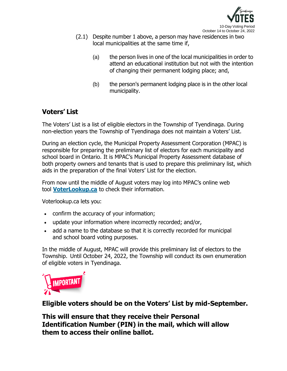

- (2.1) Despite number 1 above, a person may have residences in two local municipalities at the same time if,
	- (a) the person lives in one of the local municipalities in order to attend an educational institution but not with the intention of changing their permanent lodging place; and,
	- (b) the person's permanent lodging place is in the other local municipality.

## <span id="page-19-0"></span>**Voters' List**

The Voters' List is a list of eligible electors in the Township of Tyendinaga. During non-election years the Township of Tyendinaga does not maintain a Voters' List.

During an election cycle, the Municipal Property Assessment Corporation (MPAC) is responsible for preparing the preliminary list of electors for each municipality and school board in Ontario. It is MPAC's Municipal Property Assessment database of both property owners and tenants that is used to prepare this preliminary list, which aids in the preparation of the final Voters' List for the election.

From now until the middle of August voters may log into MPAC's online web tool **[VoterLookup.ca](https://www.voterlookup.ca/)** to check their information.

Voterlookup.ca lets you:

- confirm the accuracy of your information;
- update your information where incorrectly recorded; and/or,
- add a name to the database so that it is correctly recorded for municipal and school board voting purposes.

In the middle of August, MPAC will provide this preliminary list of electors to the Township. Until October 24, 2022, the Township will conduct its own enumeration of eligible voters in Tyendinaga.



**Eligible voters should be on the Voters' List by mid-September.**

**This will ensure that they receive their Personal Identification Number (PIN) in the mail, which will allow them to access their online ballot.**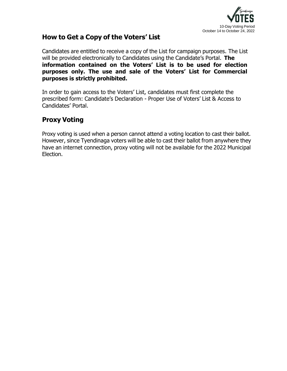

## <span id="page-20-0"></span>**How to Get a Copy of the Voters' List**

Candidates are entitled to receive a copy of the List for campaign purposes. The List will be provided electronically to Candidates using the Candidate's Portal. **The information contained on the Voters' List is to be used for election purposes only. The use and sale of the Voters' List for Commercial purposes is strictly prohibited.**

In order to gain access to the Voters' List, candidates must first complete the prescribed form: Candidate's Declaration - Proper Use of Voters' List & Access to Candidates' Portal.

## <span id="page-20-1"></span>**Proxy Voting**

Proxy voting is used when a person cannot attend a voting location to cast their ballot. However, since Tyendinaga voters will be able to cast their ballot from anywhere they have an internet connection, proxy voting will not be available for the 2022 Municipal Election.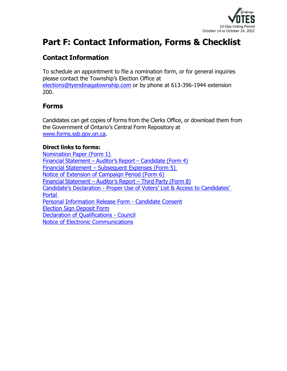

# <span id="page-21-0"></span>**Part F: Contact Information, Forms & Checklist**

## <span id="page-21-1"></span>**Contact Information**

To schedule an appointment to file a nomination form, or for general inquiries please contact the Township's Election Office at [elections@tyendinagatownship.com](mailto:elections@tyendinagatownship.com) or by phone at 613-396-1944 extension 200.

## <span id="page-21-2"></span>**Forms**

Candidates can get copies of forms from the Clerks Office, or download them from the Government of Ontario's Central Form Repository at [www.forms.ssb.gov.on.ca.](https://www.forms.ssb.gov.on.ca/mbs/ssb/forms/ssbforms.nsf?opendatabase&ENV=WWE)

## **Direct links to forms:**

[Nomination Paper \(Form 1\)](https://forms.mgcs.gov.on.ca/en/dataset/017-9499p) Financial [Statement](https://forms.mgcs.gov.on.ca/en/dataset/017-9503p) – Auditor's Report – Candidate (Form 4) Financial Statement – [Subsequent](https://forms.mgcs.gov.on.ca/en/dataset/017-9504p) Expenses (Form 5) [Notice of Extension of Campaign Period \(Form 6\)](https://forms.mgcs.gov.on.ca/en/dataset/017-10550p) Financial [Statement](https://forms.mgcs.gov.on.ca/en/dataset/017-10552p) – Auditor's Report – Third Party (Form 8) Candidate's Declaration - [Proper Use of Voters' List & Access to Candidates'](https://tyendinagatownship.com/wp-content/uploads/2022/05/Candidates-Declaration-Proper-Use-of-Voters-List-Candidate-Portal-Access.pdf)  [Portal](https://tyendinagatownship.com/wp-content/uploads/2022/05/Candidates-Declaration-Proper-Use-of-Voters-List-Candidate-Portal-Access.pdf) [Personal Information Release Form -](https://tyendinagatownship.com/wp-content/uploads/2022/05/Personal-Release-of-Information-Form-Candidate-Consent.pdf) Candidate Consent [Election Sign Deposit Form](https://tyendinagatownship.com/wp-content/uploads/2022/05/Election-Sign-Deposit-Form.pdf) [Declaration of Qualifications -](https://tyendinagatownship.com/wp-content/uploads/2022/05/Declaration-of-Qualifications-Council.pdf) Council [Notice of Electronic Communications](https://tyendinagatownship.com/wp-content/uploads/2022/05/Notice-of-Electronic-Communications.pdf)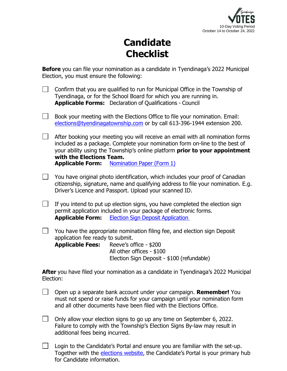

# **Candidate Checklist**

**Before** you can file your nomination as a candidate in Tyendinaga's 2022 Municipal Election, you must ensure the following:

|                                                                                                 |                                                                                                                                                                                                                              | Confirm that you are qualified to run for Municipal Office in the Township of<br>Tyendinaga, or for the School Board for which you are running in.<br><b>Applicable Forms:</b> Declaration of Qualifications - Council                                                                            |  |
|-------------------------------------------------------------------------------------------------|------------------------------------------------------------------------------------------------------------------------------------------------------------------------------------------------------------------------------|---------------------------------------------------------------------------------------------------------------------------------------------------------------------------------------------------------------------------------------------------------------------------------------------------|--|
|                                                                                                 | Book your meeting with the Elections Office to file your nomination. Email:<br>elections@tyendinagatownship.com or by call 613-396-1944 extension 200.                                                                       |                                                                                                                                                                                                                                                                                                   |  |
|                                                                                                 | with the Elections Team.                                                                                                                                                                                                     | After booking your meeting you will receive an email with all nomination forms<br>included as a package. Complete your nomination form on-line to the best of<br>your ability using the Township's online platform prior to your appointment<br><b>Applicable Form:</b> Nomination Paper (Form 1) |  |
|                                                                                                 | You have original photo identification, which includes your proof of Canadian<br>citizenship, signature, name and qualifying address to file your nomination. E.g.<br>Driver's Licence and Passport. Upload your scanned ID. |                                                                                                                                                                                                                                                                                                   |  |
| $\perp$                                                                                         | <b>Applicable Form:</b>                                                                                                                                                                                                      | If you intend to put up election signs, you have completed the election sign<br>permit application included in your package of electronic forms.<br><b>Election Sign Deposit Application</b>                                                                                                      |  |
| $\perp$                                                                                         | application fee ready to submit.<br><b>Applicable Fees:</b> Reeve's office - \$200                                                                                                                                           | You have the appropriate nomination filing fee, and election sign Deposit<br>All other offices - \$100<br>Election Sign Deposit - \$100 (refundable)                                                                                                                                              |  |
| After you have filed your nomination as a candidate in Tyendinaga's 2022 Municipal<br>Election: |                                                                                                                                                                                                                              |                                                                                                                                                                                                                                                                                                   |  |
| —                                                                                               |                                                                                                                                                                                                                              |                                                                                                                                                                                                                                                                                                   |  |

- Open up a separate bank account under your campaign. **Remember!** You must not spend or raise funds for your campaign until your nomination form and all other documents have been filed with the Elections Office.
- $\Box$  Only allow your election signs to go up any time on September 6, 2022. Failure to comply with the Township's Election Signs By-law may result in additional fees being incurred.
- Login to the Candidate's Portal and ensure you are familiar with the set-up.  $\Box$ Together with the [elections website,](http://www.tyendinagatownship.com/elections) the Candidate's Portal is your primary hub for Candidate information.